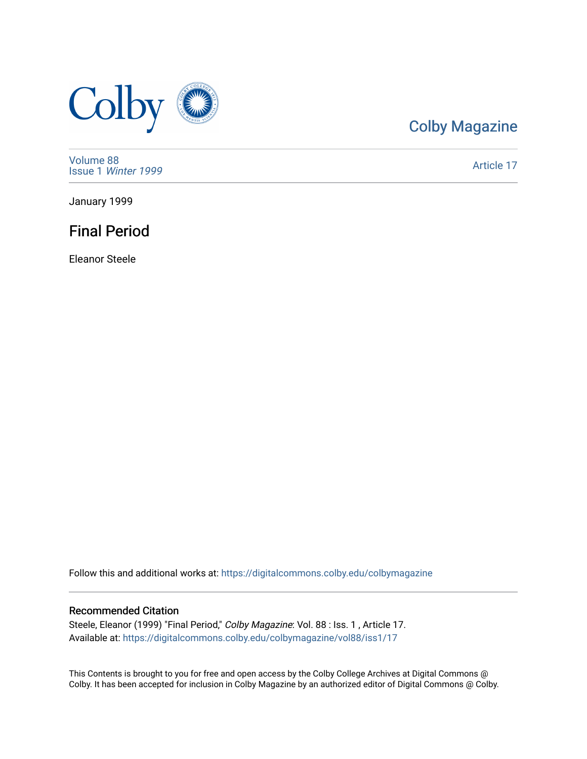

# [Colby Magazine](https://digitalcommons.colby.edu/colbymagazine)

[Volume 88](https://digitalcommons.colby.edu/colbymagazine/vol88) Issue 1 [Winter 1999](https://digitalcommons.colby.edu/colbymagazine/vol88/iss1) 

[Article 17](https://digitalcommons.colby.edu/colbymagazine/vol88/iss1/17) 

January 1999

### Final Period

Eleanor Steele

Follow this and additional works at: [https://digitalcommons.colby.edu/colbymagazine](https://digitalcommons.colby.edu/colbymagazine?utm_source=digitalcommons.colby.edu%2Fcolbymagazine%2Fvol88%2Fiss1%2F17&utm_medium=PDF&utm_campaign=PDFCoverPages)

### Recommended Citation

Steele, Eleanor (1999) "Final Period," Colby Magazine: Vol. 88 : Iss. 1 , Article 17. Available at: [https://digitalcommons.colby.edu/colbymagazine/vol88/iss1/17](https://digitalcommons.colby.edu/colbymagazine/vol88/iss1/17?utm_source=digitalcommons.colby.edu%2Fcolbymagazine%2Fvol88%2Fiss1%2F17&utm_medium=PDF&utm_campaign=PDFCoverPages) 

This Contents is brought to you for free and open access by the Colby College Archives at Digital Commons @ Colby. It has been accepted for inclusion in Colby Magazine by an authorized editor of Digital Commons @ Colby.